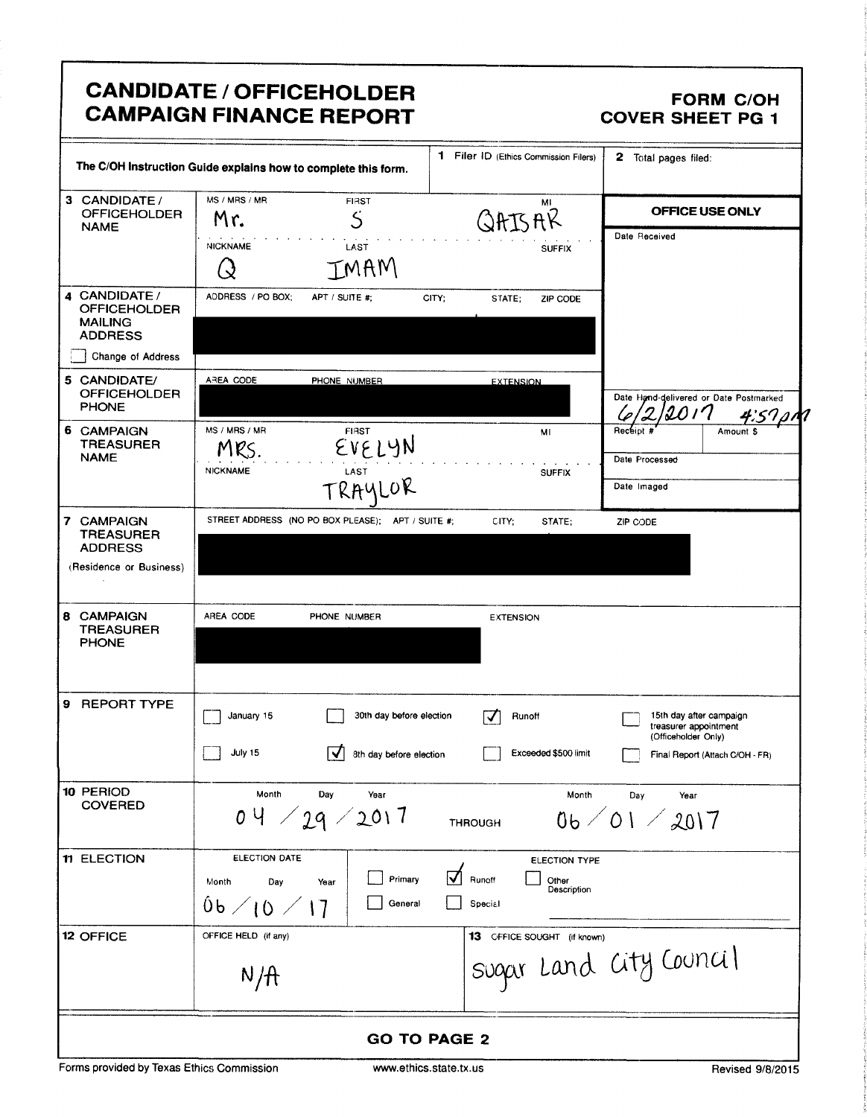|                                                                                               | <b>CANDIDATE / OFFICEHOLDER</b><br><b>CAMPAIGN FINANCE REPORT</b>                                       |                                                                             | <b>FORM C/OH</b><br><b>COVER SHEET PG 1</b>                                                                |
|-----------------------------------------------------------------------------------------------|---------------------------------------------------------------------------------------------------------|-----------------------------------------------------------------------------|------------------------------------------------------------------------------------------------------------|
|                                                                                               | The C/OH Instruction Guide explains how to complete this form.                                          | 1 Filer ID (Ethics Commission Filers)                                       | 2 Total pages filed:                                                                                       |
| 3 CANDIDATE /<br><b>OFFICEHOLDER</b><br><b>NAME</b>                                           | MS / MRS / MR<br><b>FIRST</b><br>Ś<br>Mr.<br><b>NICKNAME</b><br>LAST<br><b>TMAM</b>                     | MI<br>QAISAR<br><b>SUFFIX</b>                                               | OFFICE USE ONLY<br>Date Received                                                                           |
| 4 CANDIDATE /<br><b>OFFICEHOLDER</b><br><b>MAILING</b><br><b>ADDRESS</b><br>Change of Address | ADDRESS / PO BOX;<br>APT / SUITE #;                                                                     | CITY,<br>STATE:<br>ZIP CODE                                                 |                                                                                                            |
| 5 CANDIDATE/<br><b>OFFICEHOLDER</b><br><b>PHONE</b>                                           | AREA CODE<br>PHONE NUMBER                                                                               | <b>EXTENSION</b>                                                            | Date Hand-delivered or Date Postmarked                                                                     |
| 6 CAMPAIGN<br><b>TREASURER</b><br><b>NAME</b>                                                 | MS / MRS / MR<br><b>FIRST</b><br>EVELYN<br>MRS.<br><b>NICKNAME</b><br>LAST<br>TRAYLOR                   | MI<br><b>SUFFIX</b>                                                         | Rechint<br>Amount<br>Date Processed<br>Date Imaged                                                         |
| 7 CAMPAIGN<br><b>TREASURER</b><br><b>ADDRESS</b><br>(Residence or Business)                   | STREET ADDRESS (NO PO BOX PLEASE); APT / SUITE #;                                                       | CITY:<br>STATE:                                                             | ZIP CODE                                                                                                   |
| 8 CAMPAIGN<br><b>TREASURER</b><br><b>PHONE</b>                                                | AREA CODE<br>PHONE NUMBER                                                                               | <b>EXTENSION</b>                                                            |                                                                                                            |
| 9 REPORT TYPE                                                                                 | 30th day before election<br>January 15<br>$\overline{\mathsf{v}}$<br>July 15<br>8th day before election | Runoff<br>⋁<br>Exceeded \$500 limit                                         | 15th day after campaign<br>treasurer appointment<br>(Officeholder Only)<br>Final Report (Attach C/OH - FR) |
| 10 PERIOD<br><b>COVERED</b>                                                                   | Month<br>Day<br>Year<br>0 Y<br>1/29/2017                                                                | Month<br><b>THROUGH</b>                                                     | Day<br>Year<br>06 / 01 / 2017                                                                              |
| <b>11 ELECTION</b>                                                                            | ELECTION DATE<br>Primary<br>Month<br>Day<br>Year<br>06/10/17<br>General                                 | ELECTION TYPE<br>$\bm{\nabla}$<br>Runoff<br>Other<br>Description<br>Special |                                                                                                            |
| 12 OFFICE                                                                                     | OFFICE HELD (if any)<br>N/H                                                                             | 13 OFFICE SOUGHT (if known)                                                 | sugar Land City Council                                                                                    |
|                                                                                               |                                                                                                         | <b>GO TO PAGE 2</b>                                                         |                                                                                                            |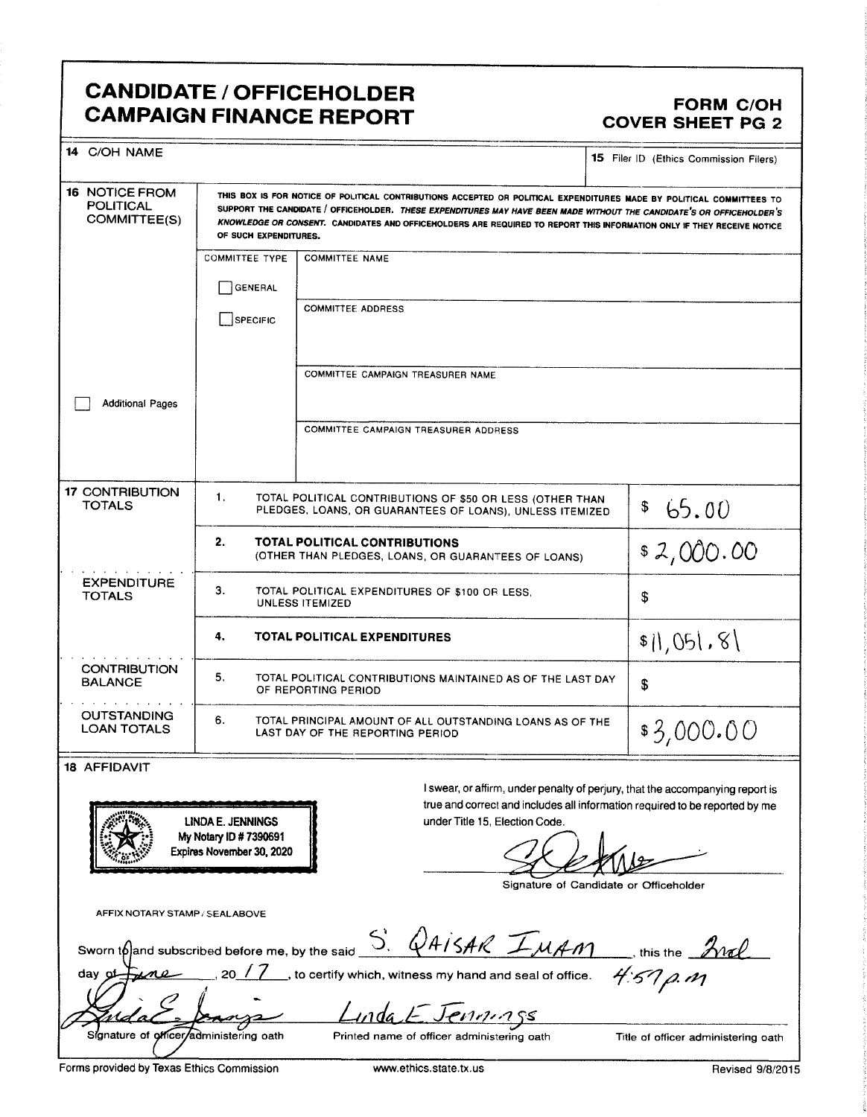## CANDIDATE / OFFICEHOLDER FORM C/OH CAMPAIGN FINANCE REPORT COVER SHEET PG <sup>2</sup>

| 14 C/OH NAME                                             |                                                                                 |                                                                                                                                                                                                                                                                                                                                                                         | 15 Filer ID (Ethics Commission Filers) |
|----------------------------------------------------------|---------------------------------------------------------------------------------|-------------------------------------------------------------------------------------------------------------------------------------------------------------------------------------------------------------------------------------------------------------------------------------------------------------------------------------------------------------------------|----------------------------------------|
| 16 NOTICE FROM<br><b>POLITICAL</b><br>COMMITTEE(S)       | OF SUCH EXPENDITURES.                                                           | THIS BOX IS FOR NOTICE OF POLITICAL CONTRIBUTIONS ACCEPTED OR POLITICAL EXPENDITURES MADE BY POLITICAL COMMITTEES TO<br>SUPPORT THE CANDIDATE / OFFICEHOLDER. THESE EXPENDITURES MAY HAVE BEEN MADE WITHOUT THE CANDIDATE'S OR OFFICEHOLDER'S<br>KNOWLEDGE OR CONSENT. CANDIDATES AND OFFICEHOLDERS ARE REQUIRED TO REPORT THIS INFORMATION ONLY IF THEY RECEIVE NOTICE |                                        |
|                                                          | <b>COMMITTEE TYPE</b><br>GENERAL<br>SPECIFIC                                    | <b>COMMITTEE NAME</b><br><b>COMMITTEE ADDRESS</b>                                                                                                                                                                                                                                                                                                                       |                                        |
| <b>Additional Pages</b>                                  |                                                                                 | COMMITTEE CAMPAIGN TREASURER NAME                                                                                                                                                                                                                                                                                                                                       |                                        |
|                                                          |                                                                                 | COMMITTEE CAMPAIGN TREASURER ADDRESS                                                                                                                                                                                                                                                                                                                                    |                                        |
| <b>17 CONTRIBUTION</b><br>TOTALS                         | 1.                                                                              | TOTAL POLITICAL CONTRIBUTIONS OF \$50 OR LESS (OTHER THAN<br>PLEDGES, LOANS, OR GUARANTEES OF LOANS), UNLESS ITEMIZED                                                                                                                                                                                                                                                   | \$<br>65.00                            |
|                                                          | 2.                                                                              | <b>TOTAL POLITICAL CONTRIBUTIONS</b><br>(OTHER THAN PLEDGES, LOANS, OR GUARANTEES OF LOANS)                                                                                                                                                                                                                                                                             | \$2,000.00                             |
| <b>EXPENDITURE</b><br><b>TOTALS</b>                      | 3.                                                                              | TOTAL POLITICAL EXPENDITURES OF \$100 OR LESS,<br><b>UNLESS ITEMIZED</b>                                                                                                                                                                                                                                                                                                | \$                                     |
|                                                          | 4.                                                                              | TOTAL POLITICAL EXPENDITURES                                                                                                                                                                                                                                                                                                                                            | \$1,051.81                             |
| CONTRIBUTION<br><b>BALANCE</b>                           | 5.                                                                              | TOTAL POLITICAL CONTRIBUTIONS MAINTAINED AS OF THE LAST DAY<br>OF REPORTING PERIOD                                                                                                                                                                                                                                                                                      | S                                      |
| <b>OUTSTANDING</b><br><b>LOAN TOTALS</b>                 | 6.                                                                              | TOTAL PRINCIPAL AMOUNT OF ALL OUTSTANDING LOANS AS OF THE<br>LAST DAY OF THE REPORTING PERIOD                                                                                                                                                                                                                                                                           | \$3,000.00                             |
| <b>18 AFFIDAVIT</b><br>AFFIX NOTARY STAMP / SEAL ABOVE   | <b>LINDA E. JENNINGS</b><br>My Notary ID # 7390691<br>Expires November 30, 2020 | I swear, or affirm, under penalty of perjury, that the accompanying report is<br>true and correct and includes all information required to be reported by me<br>under Title 15, Election Code.<br>Signature of Candidate or Officeholder                                                                                                                                |                                        |
| Sworn to and subscribed before me, by the said<br>day of |                                                                                 | pand subscribed before me, by the said S. QAISAR IMAM this the 2nd<br>Fine 3017, to certify which, witness my hand and seal of office. 4:57p. m<br>Linda E Jenninss                                                                                                                                                                                                     |                                        |

Signature of officer/administering oath Printed name of officer administering oath Title of officer administering oath

Forms provided by Texas Ethics Commission www.ethics.state.tx.us Revised 9/8/2015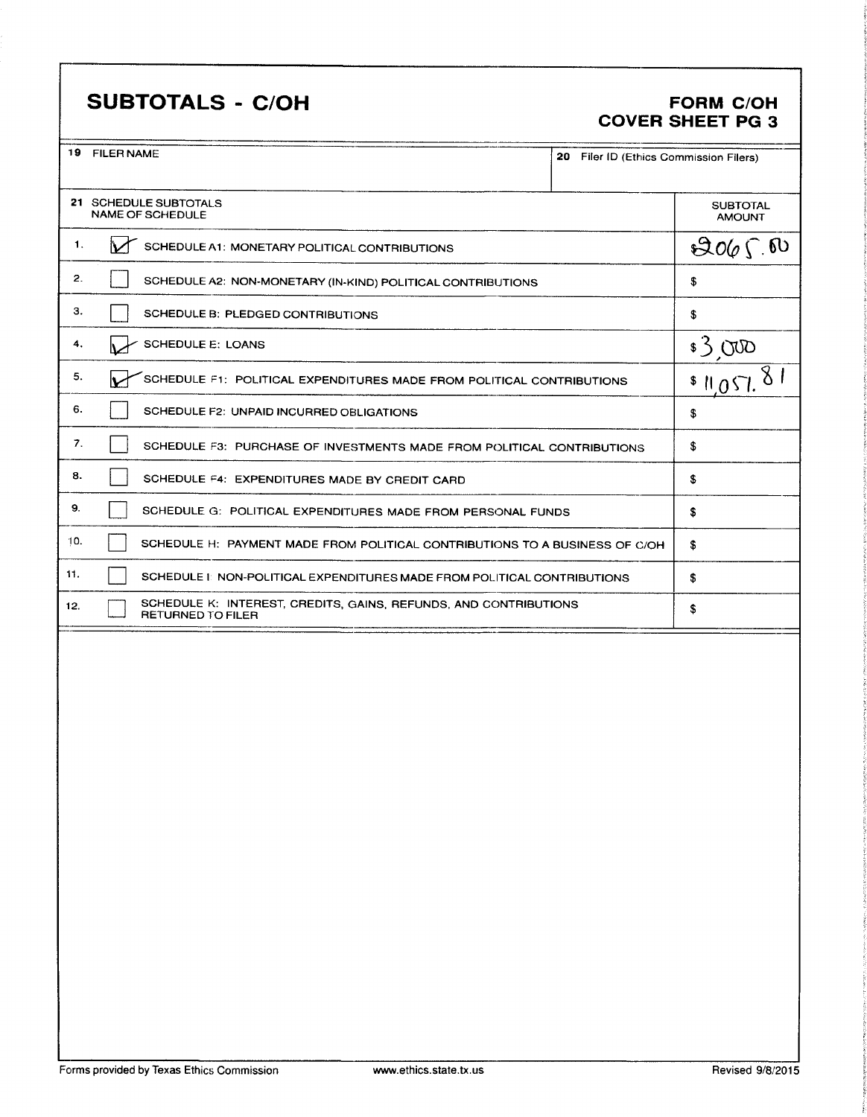# SUBTOTALS - C/OH FORM C/OH

# COVER SHEET PG 3

| 19 FILER NAME |  |
|---------------|--|
|               |  |

| 19 FILER NAME | -20 |  | Filer ID (Ethics Commission Filers) |  |
|---------------|-----|--|-------------------------------------|--|
|               |     |  |                                     |  |

|     | 21 SCHEDULE SUBTOTALS<br><b>NAME OF SCHEDULE</b>                                             | <b>SUBTOTAL</b><br><b>AMOUNT</b> |
|-----|----------------------------------------------------------------------------------------------|----------------------------------|
| 1.  | $\mathcal{M}$<br>SCHEDULE A1: MONETARY POLITICAL CONTRIBUTIONS                               | $306 \Omega$                     |
| 2.  | SCHEDULE A2: NON-MONETARY (IN-KIND) POLITICAL CONTRIBUTIONS                                  | \$                               |
| З.  | SCHEDULE B: PLEDGED CONTRIBUTIONS                                                            | \$                               |
| 4.  | <b>SCHEDULE E: LOANS</b><br>۱Ž                                                               | 300                              |
| 5.  | SCHEDULE F1: POLITICAL EXPENDITURES MADE FROM POLITICAL CONTRIBUTIONS<br>IV                  | $M_{051}$                        |
| 6.  | SCHEDULE F2: UNPAID INCURRED OBLIGATIONS                                                     | \$                               |
| 7.  | SCHEDULE F3: PURCHASE OF INVESTMENTS MADE FROM POLITICAL CONTRIBUTIONS                       | \$                               |
| 8.  | SCHEDULE F4: EXPENDITURES MADE BY CREDIT CARD                                                | \$                               |
| 9.  | SCHEDULE G: POLITICAL EXPENDITURES MADE FROM PERSONAL FUNDS                                  | \$                               |
| 10. | SCHEDULE H: PAYMENT MADE FROM POLITICAL CONTRIBUTIONS TO A BUSINESS OF C/OH                  | \$                               |
| 11. | SCHEDULE 1: NON-POLITICAL EXPENDITURES MADE FROM POLITICAL CONTRIBUTIONS                     | \$                               |
| 12. | SCHEDULE K: INTEREST, CREDITS, GAINS, REFUNDS, AND CONTRIBUTIONS<br><b>RETURNED TO FILER</b> | \$                               |
|     |                                                                                              |                                  |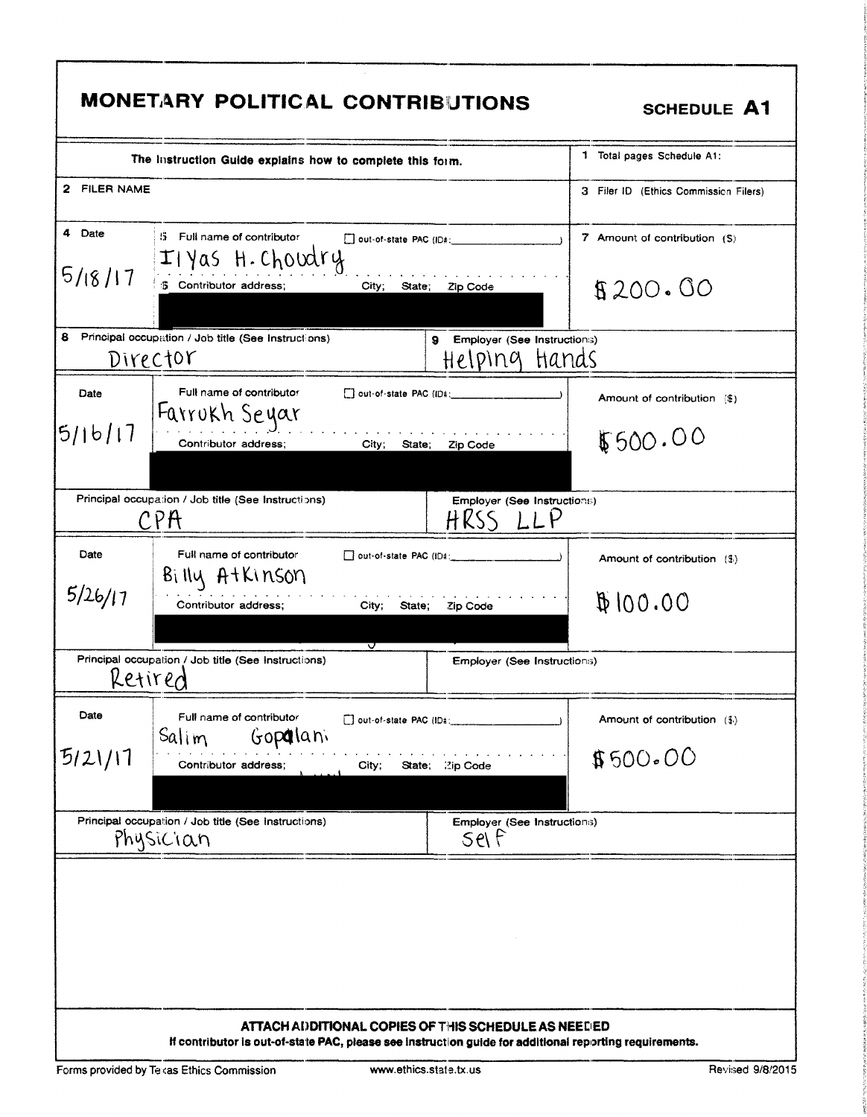|              | The Instruction Guide explains how to complete this form.       |                                                          | 1 Total pages Schedule A1:            |
|--------------|-----------------------------------------------------------------|----------------------------------------------------------|---------------------------------------|
| 2 FILER NAME |                                                                 |                                                          | 3 Filer ID (Ethics Commission Filers) |
| 4 Date       | 5 Full name of contributor<br>Ilyas H. Choudry                  | $\Box$ out-of-state PAC (ID#:                            | 7 Amount of contribution (\$)         |
| 5/18/17      | \$ Contributor address;<br>City;<br>State;                      | Zip Code                                                 | 8200.00                               |
| 8.           | Principal occupation / Job title (See Instructions)<br>Director | <b>Employer (See Instructions)</b><br>9<br>Helping Hands |                                       |
| Date         | Full name of contributor<br>Farrukh Seyar                       | out-of-state PAC (ID#:                                   | Amount of contribution (\$)           |
| 5/16/17      | Contributor address:<br>City;                                   | State; Zip Code                                          | \$500.00                              |
|              | Principal occupation / Job title (See Instructions)<br>CPA      | Employer (See Instructions)<br>HRSS LLP                  |                                       |
| Date         | Full name of contributor<br>Billy Atkinson                      | $\Box$ out-of-state PAC (ID4:                            | Amount of contribution (\$)           |
| 5/26/17      | Contributor address:<br>City;<br>State;                         | Zip Code                                                 | $00.00 \, \text{\AA}$                 |
| Ketire       | ᢦ<br>Principal occupation / Job title (See Instructions)        | <b>Employer (See Instructions)</b>                       |                                       |
| Date         | Full name of contributor<br>$S_{\alpha\{i\}}$<br>Gopalan        | $\Box$ out-of-state PAC (ID#:                            | Amount of contribution (3.)           |
| 5121/17      | Contributor address;<br>City;                                   | State; Zip Code                                          | \$500.00                              |
|              |                                                                 |                                                          |                                       |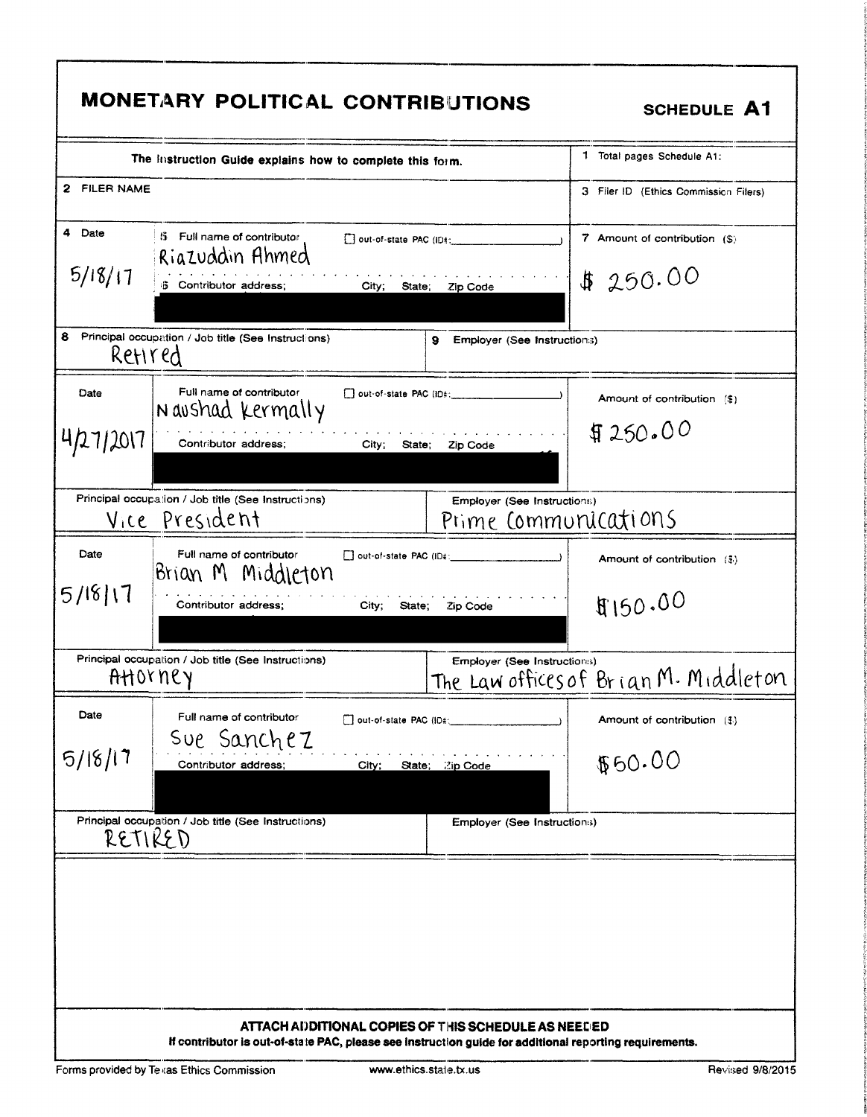|                         | MONETARY POLITICAL CONTRIBUTIONS                                                                                                                                                                      | <b>SCHEDULE A1</b>                        |
|-------------------------|-------------------------------------------------------------------------------------------------------------------------------------------------------------------------------------------------------|-------------------------------------------|
|                         | The Instruction Guide explains how to complete this form.                                                                                                                                             | 1 Total pages Schedule A1:                |
| 2 FILER NAME            |                                                                                                                                                                                                       | 3 Filer ID (Ethics Commission Filers)     |
| 4 Date<br>5/18/17<br>8. | 5 Full name of contributor<br>$\Box$ out-of-state PAC (ID#:<br>Riazuddin Ahmed<br><b>5</b> Contributor address;<br>City;<br>Zip Code<br>State;<br>Principal occupation / Job title (See Instructions) | 7 Amount of contribution (\$)<br>\$250.00 |
| Refired                 | 9<br><b>Employer (See Instructions)</b>                                                                                                                                                               |                                           |
| Date<br>4/27/2017       | Full name of contributor<br>out-of-state PAC (ID#:<br>Naushad kermally<br>Contributor address;<br>City;<br>State:<br>Zip Code                                                                         | Amount of contribution $(\$)$<br>\$250.00 |
|                         | Principal occupation / Job title (See Instructions)<br>Employer (See Instructions)<br>Vice President<br>Prime Communications                                                                          |                                           |
| Date<br>5/18/17         | Full name of contributor<br>Brian M Middleton<br>Contributor address;<br>City;<br>State;<br>Zip Code                                                                                                  | Amount of contribution $(3)$<br>\$150.00  |
| AHOYNEY                 | Principal occupation / Job title (See Instructions)<br><b>Employer (See Instructions)</b>                                                                                                             | The Law offices of Brian M. Middleton     |
| Date                    | Full name of contributor<br>out-of-state PAC (ID#:<br>Sue Sanchez                                                                                                                                     | Amount of contribution $(3)$              |
| 5/18/17                 | Contributor address;<br>City;<br>State; Zip Code                                                                                                                                                      | \$60.00                                   |
| RETIRED                 | Principal occupation / Job title (See Instructions)<br><b>Employer (See Instructions)</b>                                                                                                             |                                           |
|                         | ATTACH ADDITIONAL COPIES OF THIS SCHEDULE AS NEEDED                                                                                                                                                   |                                           |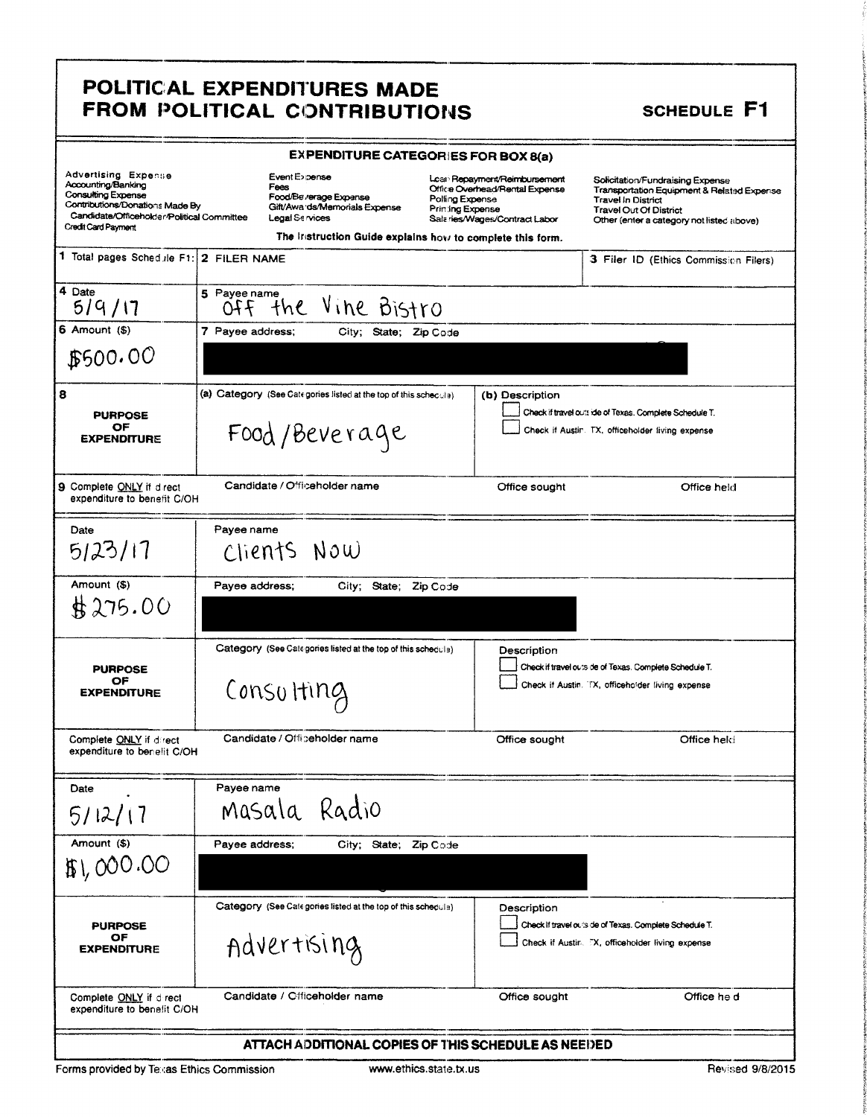|                                                                                                                                                                                |                                         | <b>EXPENDITURE CATEGORIES FOR BOX 8(a)</b>                       |                                            |                                                                                                 |                                                                                                                                                                                           |
|--------------------------------------------------------------------------------------------------------------------------------------------------------------------------------|-----------------------------------------|------------------------------------------------------------------|--------------------------------------------|-------------------------------------------------------------------------------------------------|-------------------------------------------------------------------------------------------------------------------------------------------------------------------------------------------|
| Advertising Expense<br>Accounting/Banking<br><b>Consulting Expense</b><br>Contributions/Donations Made By<br>Candidate/Officeholder/Political Committee<br>Credit Card Payment | Event Expense<br>Fees<br>Legal Services | Food/Beverage Expense<br>Gift/Awa ds/Memorials Expense           | Polling Expense<br><b>Printing Expense</b> | Lcar Repayment/Reimbursement<br>Office Overhead/Rental Expense<br>Salaries/Wages/Contract Labor | Solicitation/Fundraising Expense<br>Transportation Equipment & Related Expense<br><b>Travel In District</b><br><b>Travel Out Of District</b><br>Other (enter a category not listed above) |
|                                                                                                                                                                                |                                         | The instruction Guide explains how to complete this form.        |                                            |                                                                                                 |                                                                                                                                                                                           |
| 1 Total pages Schedule F1: 2 FILER NAME                                                                                                                                        |                                         |                                                                  |                                            |                                                                                                 | 3 Filer ID (Ethics Commission Filers)                                                                                                                                                     |
| 4 Date<br>5/9/17                                                                                                                                                               | 5 Payee name                            | Off the Vine Bistro                                              |                                            |                                                                                                 |                                                                                                                                                                                           |
| $6$ Amount $($)$                                                                                                                                                               | 7 Payee address;                        | City; State; Zip Code                                            |                                            |                                                                                                 |                                                                                                                                                                                           |
| \$500.00                                                                                                                                                                       |                                         |                                                                  |                                            |                                                                                                 |                                                                                                                                                                                           |
| 8                                                                                                                                                                              |                                         | (a) Category (See Categories listed at the top of this schecula) |                                            | (b) Description                                                                                 |                                                                                                                                                                                           |
| <b>PURPOSE</b><br>OF<br><b>EXPENDITURE</b>                                                                                                                                     |                                         | Food/Beverage                                                    |                                            |                                                                                                 | Check if travel outside of Texas. Complete Schedule T.<br>Check if Austin. TX, officeholder living expense                                                                                |
| 9 Complete ONLY if direct<br>expenditure to benefit C/OH                                                                                                                       | Candidate / Officeholder name           |                                                                  |                                            | Office sought                                                                                   | Office held                                                                                                                                                                               |
| Date                                                                                                                                                                           | Payee name                              |                                                                  |                                            |                                                                                                 |                                                                                                                                                                                           |
| 5123/17                                                                                                                                                                        | Clients Now                             |                                                                  |                                            |                                                                                                 |                                                                                                                                                                                           |
| Amount (\$)                                                                                                                                                                    | Payee address;                          | City; State; Zip Code                                            |                                            |                                                                                                 |                                                                                                                                                                                           |
| #275.00                                                                                                                                                                        |                                         |                                                                  |                                            |                                                                                                 |                                                                                                                                                                                           |
|                                                                                                                                                                                |                                         | Category (See Categories listed at the top of this schedula)     |                                            | Description                                                                                     |                                                                                                                                                                                           |
| <b>PURPOSE</b><br>ОF                                                                                                                                                           |                                         |                                                                  |                                            |                                                                                                 | Check if travel outside of Texas. Complete Schedule T.                                                                                                                                    |
| <b>EXPENDITURE</b>                                                                                                                                                             | Consulting                              |                                                                  |                                            |                                                                                                 | Check if Austin. TX, officeholder living expense                                                                                                                                          |
| Complete ONLY if direct                                                                                                                                                        | Candidate / Officeholder name           |                                                                  |                                            | Office sought                                                                                   | Office held                                                                                                                                                                               |
| expenditure to benelit C/OH                                                                                                                                                    |                                         |                                                                  |                                            |                                                                                                 |                                                                                                                                                                                           |
| Date                                                                                                                                                                           | Payee name                              |                                                                  |                                            |                                                                                                 |                                                                                                                                                                                           |
| 5/12/17                                                                                                                                                                        | Masala Radio                            |                                                                  |                                            |                                                                                                 |                                                                                                                                                                                           |
| Amount (\$)                                                                                                                                                                    | Payee address;                          | City;<br>State;                                                  | Zip Code                                   |                                                                                                 |                                                                                                                                                                                           |
| \$1,000.00                                                                                                                                                                     |                                         |                                                                  |                                            |                                                                                                 |                                                                                                                                                                                           |
|                                                                                                                                                                                |                                         | Category (See Calegories listed at the top of this schedule)     |                                            | Description                                                                                     |                                                                                                                                                                                           |
| <b>PURPOSE</b><br>OF<br><b>EXPENDITURE</b>                                                                                                                                     | Advertising                             |                                                                  |                                            |                                                                                                 | Check if travel outside of Texas. Complete Schedule T.<br>Check if Austin. "X, officeholder living expense                                                                                |
| Complete ONLY if direct<br>expenditure to benefit C/OH                                                                                                                         | Candidate / Officeholder name           |                                                                  |                                            | Office sought                                                                                   | Office he d                                                                                                                                                                               |
|                                                                                                                                                                                |                                         | ATTACH ADDITIONAL COPIES OF THIS SCHEDULE AS NEEDED              |                                            |                                                                                                 |                                                                                                                                                                                           |

Forms provided by Texas Ethics Commission

SCHEDULE F1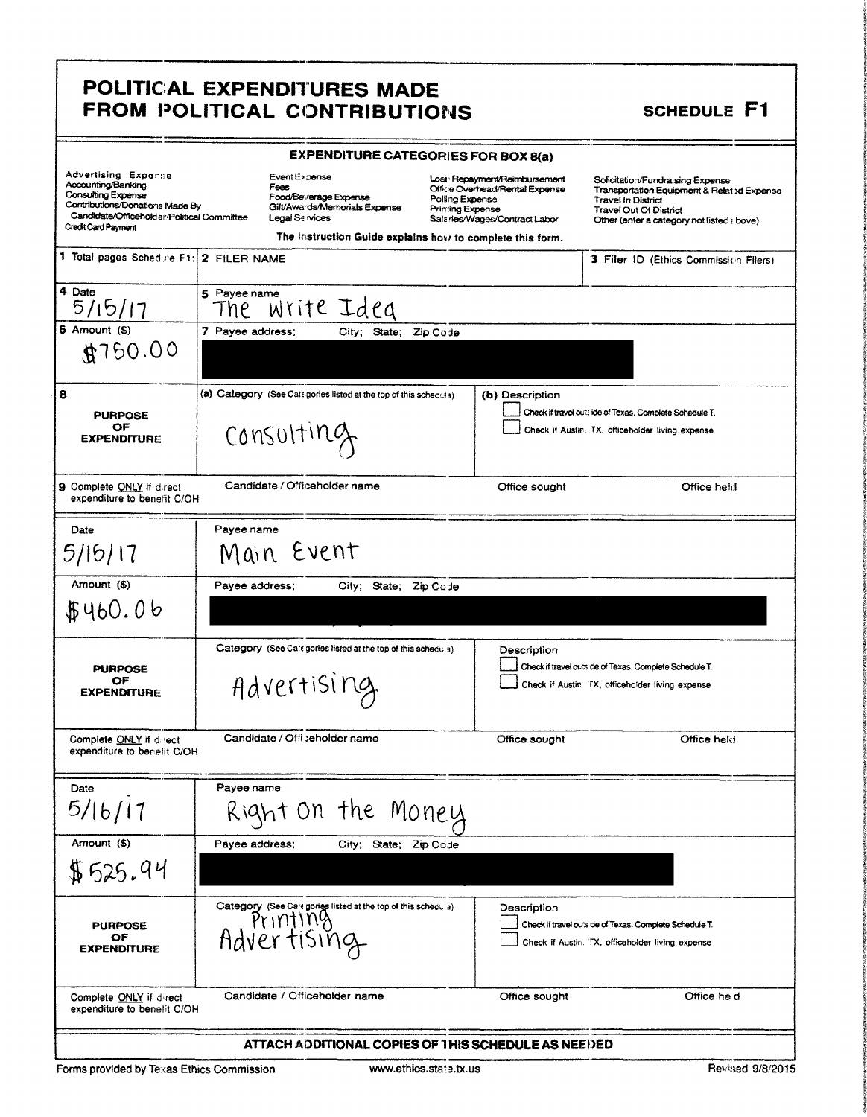|                                                                                                                                                                                |                                         | <b>EXPENDITURE CATEGORIES FOR BOX 8(a)</b>                       |                                                                                                                                                                                                    |                                                                                                                                                                                    |
|--------------------------------------------------------------------------------------------------------------------------------------------------------------------------------|-----------------------------------------|------------------------------------------------------------------|----------------------------------------------------------------------------------------------------------------------------------------------------------------------------------------------------|------------------------------------------------------------------------------------------------------------------------------------------------------------------------------------|
| Advertising Expense<br>Accounting/Banking<br><b>Consulting Expense</b><br>Contributions/Donations Made By<br>Candidate/Officeholder/Political Committee<br>Credit Card Payment | Event E>pense<br>Fees<br>Legal Se vices | Food/Be verage Expense<br>Gift/Awa ds/Memorials Expense          | Lcar Repayment/Reimbursement<br>Office Overhead/Rental Expense<br>Polling Expense<br>Priming Expense<br>Salaries/Wages/Contract Labor<br>The instruction Guide explains how to complete this form. | Solicitation/Fundraising Expense<br>Transportation Equipment & Related Expense<br><b>Travel In District</b><br>Travel Out Of District<br>Other (enter a category not listed above) |
| 1 Total pages Schedule F1: 2 FILER NAME                                                                                                                                        |                                         |                                                                  |                                                                                                                                                                                                    | 3 Filer ID (Ethics Commission Filers)                                                                                                                                              |
| 4 Date<br>5/15/17                                                                                                                                                              | 5 Payee name<br>Tne                     | write Idea                                                       |                                                                                                                                                                                                    |                                                                                                                                                                                    |
| $6$ Amount $($)$<br>\$750.00                                                                                                                                                   | 7 Payee address;                        | Zip Code<br>City; State;                                         |                                                                                                                                                                                                    |                                                                                                                                                                                    |
| 8<br><b>PURPOSE</b><br>OF<br><b>EXPENDITURE</b>                                                                                                                                | ConSulting                              | (a) Category (See Categories listed at the top of this schecula) | (b) Description                                                                                                                                                                                    | Check if travel outside of Texas. Complete Schedule T.<br>Check if Austin. TX, officeholder living expense                                                                         |
| 9 Complete ONLY if direct<br>expenditure to benefit C/OH                                                                                                                       | Candidate / Officeholder name           |                                                                  | Office sought                                                                                                                                                                                      | Office held                                                                                                                                                                        |
| Date                                                                                                                                                                           | Payee name                              |                                                                  |                                                                                                                                                                                                    |                                                                                                                                                                                    |
| 5/15/17                                                                                                                                                                        | Main Event                              |                                                                  |                                                                                                                                                                                                    |                                                                                                                                                                                    |
| Amount (\$)                                                                                                                                                                    | Payee address;                          | City; State; Zip Code                                            |                                                                                                                                                                                                    |                                                                                                                                                                                    |
| \$460.06                                                                                                                                                                       |                                         |                                                                  |                                                                                                                                                                                                    |                                                                                                                                                                                    |
| <b>PURPOSE</b><br>OF<br><b>EXPENDITURE</b>                                                                                                                                     | Advertising                             | Category (See Categories listed at the top of this schedula)     | Description                                                                                                                                                                                        | Check if travel outside of Texas. Complete Schedule T.<br>Check if Austin. TX, officeholder living expense                                                                         |
| Complete ONLY if direct<br>expenditure to benelit C/OH                                                                                                                         | Candidate / Officeholder name           |                                                                  | Office sought                                                                                                                                                                                      | Office held                                                                                                                                                                        |
| Date                                                                                                                                                                           | Payee name                              |                                                                  |                                                                                                                                                                                                    |                                                                                                                                                                                    |
| 5/16/17                                                                                                                                                                        |                                         | Right On the Money                                               |                                                                                                                                                                                                    |                                                                                                                                                                                    |
| Amount (\$)                                                                                                                                                                    | Payee address:                          | City; State;<br>Zip Code                                         |                                                                                                                                                                                                    |                                                                                                                                                                                    |
| \$525.94                                                                                                                                                                       |                                         |                                                                  |                                                                                                                                                                                                    |                                                                                                                                                                                    |
| <b>PURPOSE</b><br>ОF<br><b>EXPENDITURE</b>                                                                                                                                     | Printing<br>Advertising                 | Category (See Cale gories listed at the top of this schedula)    | Description                                                                                                                                                                                        | Check if travel outs de of Texas. Complete Schedule T.<br>Check if Austin. "X, officeholder living expense                                                                         |
| <b>Complete ONLY</b> if direct<br>expenditure to benelit C/OH                                                                                                                  | Candidate / Officeholder name           |                                                                  | Office sought                                                                                                                                                                                      | Office he d                                                                                                                                                                        |
|                                                                                                                                                                                |                                         |                                                                  | ATTACH ADDITIONAL COPIES OF THIS SCHEDULE AS NEEDED                                                                                                                                                |                                                                                                                                                                                    |

Forms provided by Texas Ethics Commission

SCHEDULE F1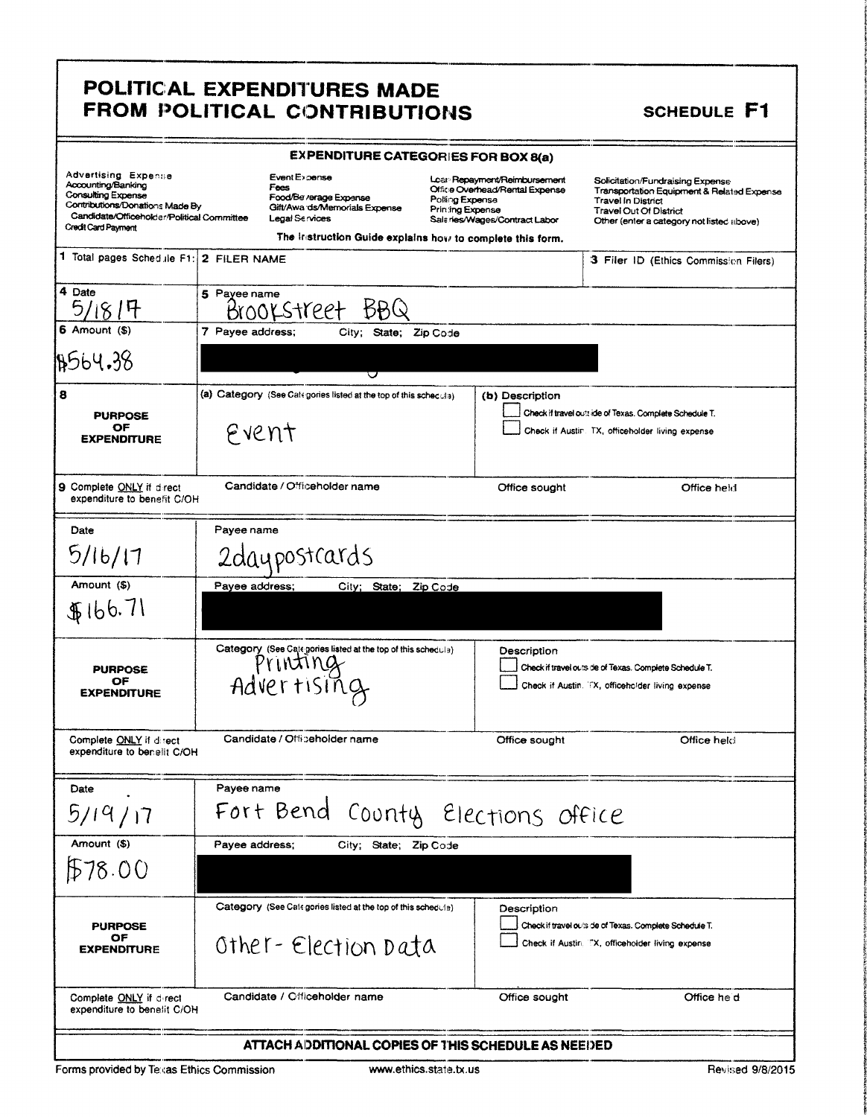8

|                                                                                                                                                                                |                  | <b>EXPENDITURE CATEGORIES FOR BOX 8(a)</b>                                                         |                                     |                                                                                                 |                                                                                                                                                                                           |
|--------------------------------------------------------------------------------------------------------------------------------------------------------------------------------|------------------|----------------------------------------------------------------------------------------------------|-------------------------------------|-------------------------------------------------------------------------------------------------|-------------------------------------------------------------------------------------------------------------------------------------------------------------------------------------------|
| Advertising Expense<br>Accounting/Banking<br><b>Consulting Expense</b><br>Contributions/Donations Made By<br>Candidate/Officeholder/Political Committee<br>Credit Card Payment |                  | Event Expense<br>Fees<br>Food/Be /erage Expense<br>Gift/Awa ds/Memorials Expense<br>Legal Services | Polling Expense<br>Printing Expense | Lcar Repayment/Reimbursement<br>Office Overhead/Rental Expense<br>Salaries/Wages/Contract Labor | Solicitation/Fundraising Expense<br>Transportation Equipment & Related Expense<br><b>Travel in District</b><br><b>Travel Out Of District</b><br>Other (enter a category not listed above) |
| 1 Total pages Schedule F1: 2 FILER NAME                                                                                                                                        |                  | The instruction Guide explains how to complete this form.                                          |                                     |                                                                                                 |                                                                                                                                                                                           |
|                                                                                                                                                                                |                  |                                                                                                    |                                     |                                                                                                 | 3 Filer ID (Ethics Commission Filers)                                                                                                                                                     |
| 4 Date                                                                                                                                                                         | 5 Pavee name     | ookstreet                                                                                          |                                     |                                                                                                 |                                                                                                                                                                                           |
| $6$ Amount $(6)$                                                                                                                                                               | 7 Payee address; | City; State; Zip Code                                                                              |                                     |                                                                                                 |                                                                                                                                                                                           |
| B564.38                                                                                                                                                                        |                  | v                                                                                                  |                                     |                                                                                                 |                                                                                                                                                                                           |
| 8<br><b>PURPOSE</b><br>OF<br><b>EXPENDITURE</b>                                                                                                                                | Event            | (a) Category (See Categories listed at the top of this schedula)                                   |                                     | (b) Description                                                                                 | Check if travel outside of Texas. Complete Schedule T.<br>Check if Austin. TX, officeholder living expense                                                                                |
| 9 Complete ONLY if direct<br>expenditure to benefit C/OH                                                                                                                       |                  | Candidate / Officeholder name                                                                      |                                     | Office sought                                                                                   | Office held                                                                                                                                                                               |
| Date                                                                                                                                                                           | Payee name       |                                                                                                    |                                     |                                                                                                 |                                                                                                                                                                                           |
| 5/16/17                                                                                                                                                                        |                  | 2daypostcards                                                                                      |                                     |                                                                                                 |                                                                                                                                                                                           |
| Amount (\$)                                                                                                                                                                    | Payee address;   | City; State; Zip Code                                                                              |                                     |                                                                                                 |                                                                                                                                                                                           |
| \$166.71                                                                                                                                                                       |                  |                                                                                                    |                                     |                                                                                                 |                                                                                                                                                                                           |
| <b>PURPOSE</b><br>ОF<br><b>EXPENDITURE</b>                                                                                                                                     |                  | Category (See Categories listed at the top of this schedula)<br>Printing<br>Advertising            |                                     | Description                                                                                     | Check if travel outside of Texas. Complete Schedule T.<br>Check if Austin. TX, officeholder living expense                                                                                |
| Complete ONLY if direct<br>expenditure to benelit C/OH                                                                                                                         |                  | Candidate / Officeholder name                                                                      |                                     | Office sought                                                                                   | Office held                                                                                                                                                                               |

| Complete ONLY if direct<br>expenditure to benelit C/OH | Candidate / Officeholder name                                                       | Office sought                                                                                                             | Office held |
|--------------------------------------------------------|-------------------------------------------------------------------------------------|---------------------------------------------------------------------------------------------------------------------------|-------------|
| Date<br>5/19/17                                        | Payee name<br>Fort Bend County Elections office                                     |                                                                                                                           |             |
| Amount (\$)<br>\$78.00                                 | Payee address;<br>City; State; Zip Code                                             |                                                                                                                           |             |
| <b>PURPOSE</b><br>OF<br><b>EXPENDITURE</b>             | Category (See Calagories listed at the top of this schedule)<br>Other-Election Data | Description<br>Check if travel outside of Texas. Complete Schedule T.<br>Check if Austin. "X, officeholder living expense |             |
| Complete ONLY if d-rect<br>expenditure to benelit C/OH | Candidate / Officeholder name                                                       | Office sought                                                                                                             | Office he'd |
|                                                        | ATTACH ADDITIONAL COPIES OF THIS SCHEDULE AS NEEDED                                 |                                                                                                                           |             |

### Forms provided by Texas Ethics Commission

### **SCHEDULE F1**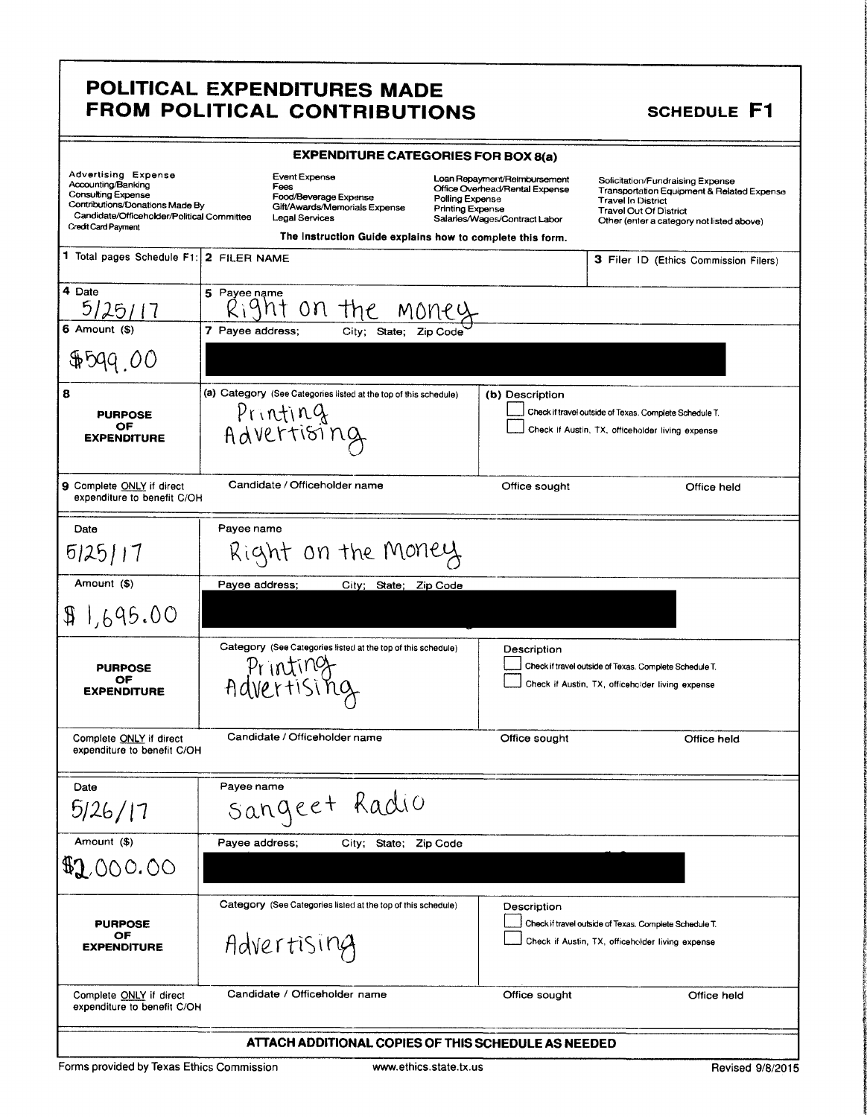|                                                                                                    | POLITICAL EXPENDITURES MADE                                                                                                                                                      |                                                                                                            |                                                                                                                 |
|----------------------------------------------------------------------------------------------------|----------------------------------------------------------------------------------------------------------------------------------------------------------------------------------|------------------------------------------------------------------------------------------------------------|-----------------------------------------------------------------------------------------------------------------|
|                                                                                                    | FROM POLITICAL CONTRIBUTIONS                                                                                                                                                     |                                                                                                            | SCHEDULE F1                                                                                                     |
| Advertising Expense<br>Accounting/Banking<br>Consulting Expense<br>Contributions/Donations Made By | <b>EXPENDITURE CATEGORIES FOR BOX 8(a)</b><br>Event Expense<br>Fees                                                                                                              | Loan Repayment/Reimbursement<br>Office Overhead/Rental Expense                                             | Solicitation/Fundraising Expense<br>Transportation Equipment & Related Expense<br>Travel la District            |
| Credit Card Payment                                                                                | Food/Beverage Expense<br>Gift/Awards/Memorials Expense<br>Candidate/Officeholder/Political Committee Legal Services<br>The Instruction Guide explains how to complete this form. | Polling Expense<br>Printing Expense<br>Salaries/Wages/Contract Labor                                       | Travel in District<br>Travel in District<br>Travel Out Of District<br>Other (enter a category not listed above) |
| 1 Total pages Schedule F1: 2 FILER NAME                                                            |                                                                                                                                                                                  |                                                                                                            | 3 Filer ID (Ethics Commission Filers)                                                                           |
| 4 Date<br>$\frac{5/25/17}{6 \text{ Amount } ($)}$                                                  | s Payeename<br>Right on the money<br>7 Payee address; City; State; Zip Code                                                                                                      |                                                                                                            |                                                                                                                 |
| 90,994                                                                                             |                                                                                                                                                                                  |                                                                                                            |                                                                                                                 |
| PURPOSE<br>OF<br>EXPENDITURE                                                                       | (a) Category (See Categories listed at the top of this schedule) (b) Description<br>Printing                                                                                     | Check if travel outside of Texas. Complete Schedule T.                                                     |                                                                                                                 |
|                                                                                                    | Advertising                                                                                                                                                                      | Check if Austin, TX, officeholder living expense                                                           |                                                                                                                 |
| 9 Complete ONLY if direct<br>expenditure to benefit C/OH                                           | Candidate / Officeholder name                                                                                                                                                    | Office sought                                                                                              | Office held                                                                                                     |
| Date<br>5125/17                                                                                    | Payee name<br>Right on the Money                                                                                                                                                 |                                                                                                            |                                                                                                                 |
| Amount (\$)                                                                                        | Payee address; City; State; Zip Code                                                                                                                                             |                                                                                                            |                                                                                                                 |
| \$1,695.00                                                                                         | Category (See Categories listed at the top of this schedule)                                                                                                                     | Description                                                                                                |                                                                                                                 |
| <b>PURPOSE</b><br>OF<br><b>EXPENDITURE</b>                                                         | Printing<br>Advertising                                                                                                                                                          | Check if travel outside of Texas. Complete Schedule T.<br>Check if Austin, TX, officeholder living expense |                                                                                                                 |
| Complete <u>ONLY</u> if direct<br>expenditure to benefit C/OH                                      | Candidate / Officeholder name                                                                                                                                                    | Office sought                                                                                              | Office held                                                                                                     |
| Date                                                                                               | Payee name                                                                                                                                                                       |                                                                                                            |                                                                                                                 |
| 5/26/17<br>Amount (\$)                                                                             | I sangeet Radio                                                                                                                                                                  |                                                                                                            |                                                                                                                 |
| \$2,000.00                                                                                         | Payee address; City; State; Zip Code                                                                                                                                             |                                                                                                            |                                                                                                                 |
|                                                                                                    | Category (See Categories listed at the top of this schedule)                                                                                                                     | Description<br>Check if travel outside of Texas. Complete Schedule T.                                      |                                                                                                                 |
| PURPOSE<br>OF<br>EXPENDITURE                                                                       | Advertising                                                                                                                                                                      | Check if Austin, TX, officeholder living expense                                                           |                                                                                                                 |
| Complete <u>ONLY</u> if direct<br>expenditure to benefit C/OH                                      | Candidate / Officeholder name                                                                                                                                                    | Office sought                                                                                              | Office held                                                                                                     |
|                                                                                                    | ATTACH ADDITIONAL COPIES OF THIS SCHEDULE AS NEEDED                                                                                                                              |                                                                                                            |                                                                                                                 |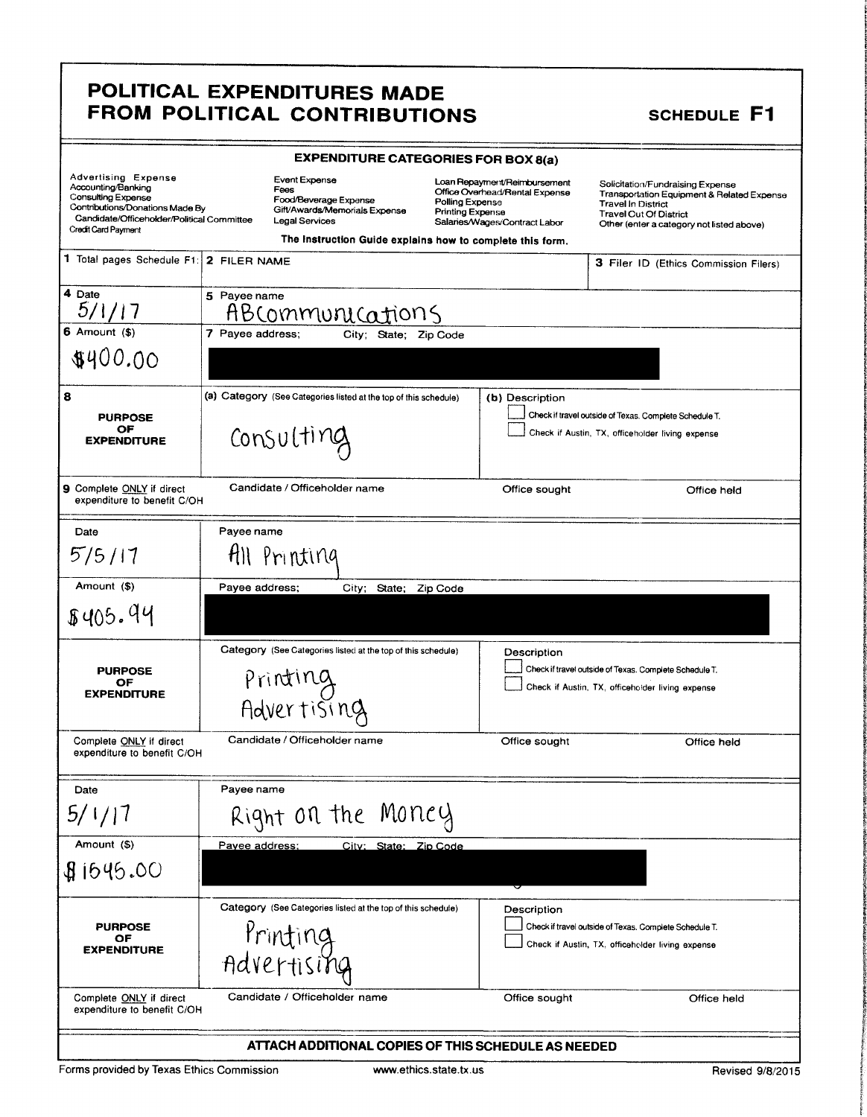**SCHEDULE F1** 

| <b>EXPENDITURE CATEGORIES FOR BOX 8(a)</b>                                                                                                                                                   |                                  |                                                                                                                                                                |                          |                                                                                                                                               |                                                                                                            |                                                            |                                                                                                                             |
|----------------------------------------------------------------------------------------------------------------------------------------------------------------------------------------------|----------------------------------|----------------------------------------------------------------------------------------------------------------------------------------------------------------|--------------------------|-----------------------------------------------------------------------------------------------------------------------------------------------|------------------------------------------------------------------------------------------------------------|------------------------------------------------------------|-----------------------------------------------------------------------------------------------------------------------------|
| <b>Advertising Expense</b><br>Accounting/Banking<br><b>Consulting Expense</b><br>Contributions/Donations Made By<br>Candidate/Officeholder/Political Committee<br><b>Credit Card Payment</b> |                                  | Event Expense<br>Fees<br>Food/Beverage Expense<br>Gift/Awards/Memorials Expense<br>Legal Services<br>The Instruction Guide explains how to complete this form. |                          | Loan Repayment/Reimbursement<br>Office Overhead/Rental Expense<br>Polling Expense<br><b>Printing Expense</b><br>Salaries/Wages/Contract Labor |                                                                                                            | <b>Travel In District</b><br><b>Travel Out Of District</b> | Solicitation/Fundraising Expense<br>Transportation Equipment & Related Expense<br>Other (enter a category not listed above) |
| 1 Total pages Schedule F1:                                                                                                                                                                   | 2 FILER NAME                     |                                                                                                                                                                |                          |                                                                                                                                               |                                                                                                            |                                                            | 3 Filer ID (Ethics Commission Filers)                                                                                       |
| 4 Date                                                                                                                                                                                       | 5 Payee name<br>ABcommunications |                                                                                                                                                                |                          |                                                                                                                                               |                                                                                                            |                                                            |                                                                                                                             |
| $6$ Amount $(5)$                                                                                                                                                                             | 7 Payee address;                 |                                                                                                                                                                | City; State; Zip Code    |                                                                                                                                               |                                                                                                            |                                                            |                                                                                                                             |
| \$400.00                                                                                                                                                                                     |                                  |                                                                                                                                                                |                          |                                                                                                                                               |                                                                                                            |                                                            |                                                                                                                             |
| 8                                                                                                                                                                                            |                                  | (a) Category (See Categories listed at the top of this schedule)                                                                                               |                          |                                                                                                                                               | (b) Description                                                                                            |                                                            |                                                                                                                             |
| <b>PURPOSE</b><br>OF<br><b>EXPENDITURE</b>                                                                                                                                                   | Consulting                       |                                                                                                                                                                |                          |                                                                                                                                               | Check if travel outside of Texas. Complete Schedule T.<br>Check if Austin, TX, officeholder living expense |                                                            |                                                                                                                             |
| Candidate / Officeholder name<br>9 Complete ONLY if direct<br>expenditure to benefit C/OH                                                                                                    |                                  |                                                                                                                                                                | Office sought            |                                                                                                                                               | Office held                                                                                                |                                                            |                                                                                                                             |
| Date                                                                                                                                                                                         | Payee name                       |                                                                                                                                                                |                          |                                                                                                                                               |                                                                                                            |                                                            |                                                                                                                             |
| 5/5/17                                                                                                                                                                                       |                                  | All Printing                                                                                                                                                   |                          |                                                                                                                                               |                                                                                                            |                                                            |                                                                                                                             |
| Amount (\$)                                                                                                                                                                                  | Payee address;                   |                                                                                                                                                                | City; State;<br>Zip Code |                                                                                                                                               |                                                                                                            |                                                            |                                                                                                                             |
| 8405.94                                                                                                                                                                                      |                                  |                                                                                                                                                                |                          |                                                                                                                                               |                                                                                                            |                                                            |                                                                                                                             |
|                                                                                                                                                                                              |                                  | Category (See Categories listed at the top of this schedule)                                                                                                   |                          |                                                                                                                                               | Description                                                                                                |                                                            |                                                                                                                             |
| <b>PURPOSE</b><br>OF                                                                                                                                                                         |                                  |                                                                                                                                                                |                          |                                                                                                                                               | Check if travel outside of Texas. Complete Schedule T.<br>Check if Austin, TX, officeholder living expense |                                                            |                                                                                                                             |
| <b>EXPENDITURE</b>                                                                                                                                                                           | Printing<br>Advertising          |                                                                                                                                                                |                          |                                                                                                                                               |                                                                                                            |                                                            |                                                                                                                             |
| Complete ONLY if direct<br>expenditure to benefit C/OH                                                                                                                                       |                                  | Candidate / Officeholder name                                                                                                                                  |                          |                                                                                                                                               | Office sought                                                                                              |                                                            | Office held                                                                                                                 |
| Date                                                                                                                                                                                         | Payee name                       |                                                                                                                                                                |                          |                                                                                                                                               |                                                                                                            |                                                            |                                                                                                                             |
| 5/1/17                                                                                                                                                                                       |                                  | Right on the                                                                                                                                                   | Money                    |                                                                                                                                               |                                                                                                            |                                                            |                                                                                                                             |
| Amount (\$)                                                                                                                                                                                  | Payee address:                   |                                                                                                                                                                | City: State: Zip Code    |                                                                                                                                               |                                                                                                            |                                                            |                                                                                                                             |
| \$1645.00                                                                                                                                                                                    |                                  |                                                                                                                                                                |                          |                                                                                                                                               |                                                                                                            |                                                            |                                                                                                                             |
|                                                                                                                                                                                              |                                  | Category (See Categories listed at the top of this schedule)                                                                                                   |                          |                                                                                                                                               | Description                                                                                                |                                                            |                                                                                                                             |
| <b>PURPOSE</b><br>ОF                                                                                                                                                                         |                                  |                                                                                                                                                                |                          |                                                                                                                                               | Check if travel outside of Texas. Complete Schedule T.<br>Check if Austin, TX, officeholder living expense |                                                            |                                                                                                                             |
| <b>EXPENDITURE</b>                                                                                                                                                                           | Printing<br>Advertising          |                                                                                                                                                                |                          |                                                                                                                                               |                                                                                                            |                                                            |                                                                                                                             |
| Complete ONLY if direct<br>expenditure to benefit C/OH                                                                                                                                       |                                  | Candidate / Officeholder name                                                                                                                                  |                          |                                                                                                                                               | Office sought                                                                                              |                                                            | Office held                                                                                                                 |
|                                                                                                                                                                                              |                                  | ATTACH ADDITIONAL COPIES OF THIS SCHEDULE AS NEEDED                                                                                                            |                          |                                                                                                                                               |                                                                                                            |                                                            |                                                                                                                             |

Forms provided by Texas Ethics Commission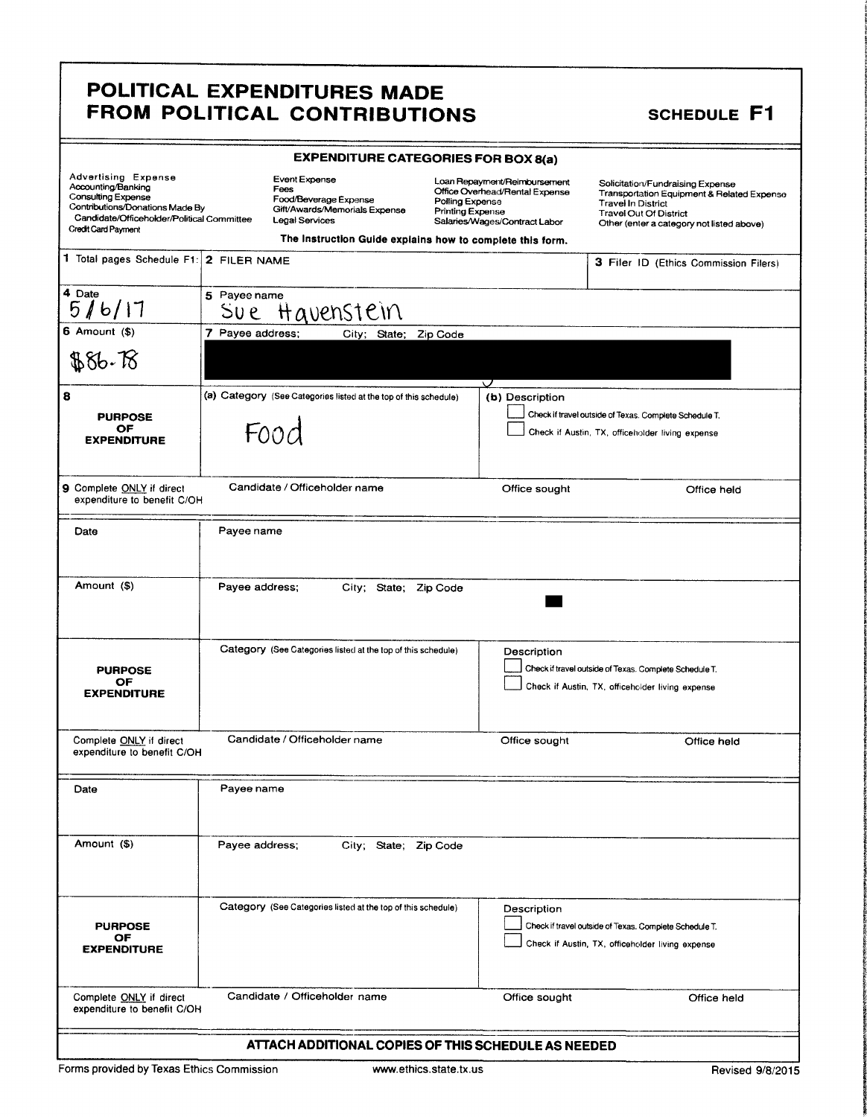| <b>EXPENDITURE CATEGORIES FOR BOX 8(a)</b>                                                                                                                                                   |                                                                                                          |                                                           |                                                                                                                                        |                                                                                                                                                                                           |  |  |
|----------------------------------------------------------------------------------------------------------------------------------------------------------------------------------------------|----------------------------------------------------------------------------------------------------------|-----------------------------------------------------------|----------------------------------------------------------------------------------------------------------------------------------------|-------------------------------------------------------------------------------------------------------------------------------------------------------------------------------------------|--|--|
| <b>Advertising Expense</b><br>Accounting/Banking<br><b>Consulting Expense</b><br>Contributions/Donations Made By<br>Candidate/Officeholder/Political Committee<br><b>Credit Card Payment</b> | Event Expense<br>Fees<br>Food/Beverage Expense<br>Gift/Awards/Memorials Expense<br><b>Legal Services</b> |                                                           | Loan Repayment/Reimbursement<br>Office Overhead/Rental Expense<br>Polling Expense<br>Printing Expense<br>Salaries/Wages/Contract Labor | Solicitation/Fundraising Expense<br>Transportation Equipment & Related Expense<br><b>Travel In District</b><br><b>Travel Out Of District</b><br>Other (enter a category not listed above) |  |  |
|                                                                                                                                                                                              |                                                                                                          | The Instruction Guide explains how to complete this form. |                                                                                                                                        |                                                                                                                                                                                           |  |  |
| 1 Total pages Schedule F1:                                                                                                                                                                   | 2 FILER NAME                                                                                             |                                                           |                                                                                                                                        | 3 Filer ID (Ethics Commission Filers)                                                                                                                                                     |  |  |
| 4 Date<br>5/6/17                                                                                                                                                                             | 5 Payee name<br>Havenstein<br>Sue                                                                        |                                                           |                                                                                                                                        |                                                                                                                                                                                           |  |  |
| $6$ Amount $($ )                                                                                                                                                                             | 7 Payee address;                                                                                         | Zip Code<br>City; State;                                  |                                                                                                                                        |                                                                                                                                                                                           |  |  |
| \$86.78                                                                                                                                                                                      |                                                                                                          |                                                           |                                                                                                                                        |                                                                                                                                                                                           |  |  |
| 8                                                                                                                                                                                            | (a) Category (See Categories listed at the top of this schedule)                                         |                                                           | (b) Description                                                                                                                        |                                                                                                                                                                                           |  |  |
| <b>PURPOSE</b><br>OF<br><b>EXPENDITURE</b>                                                                                                                                                   | Food                                                                                                     |                                                           |                                                                                                                                        | Check if travel outside of Texas. Complete Schedule T.<br>Check if Austin, TX, officeholder living expense                                                                                |  |  |
| 9 Complete ONLY if direct<br>expenditure to benefit C/OH                                                                                                                                     | Candidate / Officeholder name                                                                            |                                                           | Office sought                                                                                                                          | Office held                                                                                                                                                                               |  |  |
| Date                                                                                                                                                                                         | Payee name                                                                                               |                                                           |                                                                                                                                        |                                                                                                                                                                                           |  |  |
| Amount (\$)                                                                                                                                                                                  | Payee address;                                                                                           | City; State; Zip Code                                     |                                                                                                                                        |                                                                                                                                                                                           |  |  |
| <b>PURPOSE</b><br>OF<br><b>EXPENDITURE</b>                                                                                                                                                   | Category (See Categories listed at the top of this schedule)                                             |                                                           | Description                                                                                                                            | Check if travel outside of Texas. Complete Schedule T.<br>Check if Austin, TX, officeholder living expense                                                                                |  |  |
| Complete ONLY if direct<br>expenditure to benefit C/OH                                                                                                                                       | Candidate / Officeholder name                                                                            |                                                           | Office sought                                                                                                                          | Office held                                                                                                                                                                               |  |  |
| Date                                                                                                                                                                                         | Payee name                                                                                               |                                                           |                                                                                                                                        |                                                                                                                                                                                           |  |  |
| Amount (\$)                                                                                                                                                                                  | Payee address;                                                                                           | City; State; Zip Code                                     |                                                                                                                                        |                                                                                                                                                                                           |  |  |
| <b>PURPOSE</b><br><b>OF</b><br><b>EXPENDITURE</b>                                                                                                                                            | Category (See Categories listed at the top of this schedule)                                             |                                                           | Description                                                                                                                            | Check if travel outside of Texas. Complete Schedule T.<br>Check if Austin, TX, officeholder living expense                                                                                |  |  |
| Complete ONLY if direct<br>expenditure to benefit C/OH                                                                                                                                       | Candidate / Officeholder name                                                                            |                                                           | Office sought                                                                                                                          | Office held                                                                                                                                                                               |  |  |
|                                                                                                                                                                                              |                                                                                                          | ATTACH ADDITIONAL COPIES OF THIS SCHEDULE AS NEEDED       |                                                                                                                                        |                                                                                                                                                                                           |  |  |